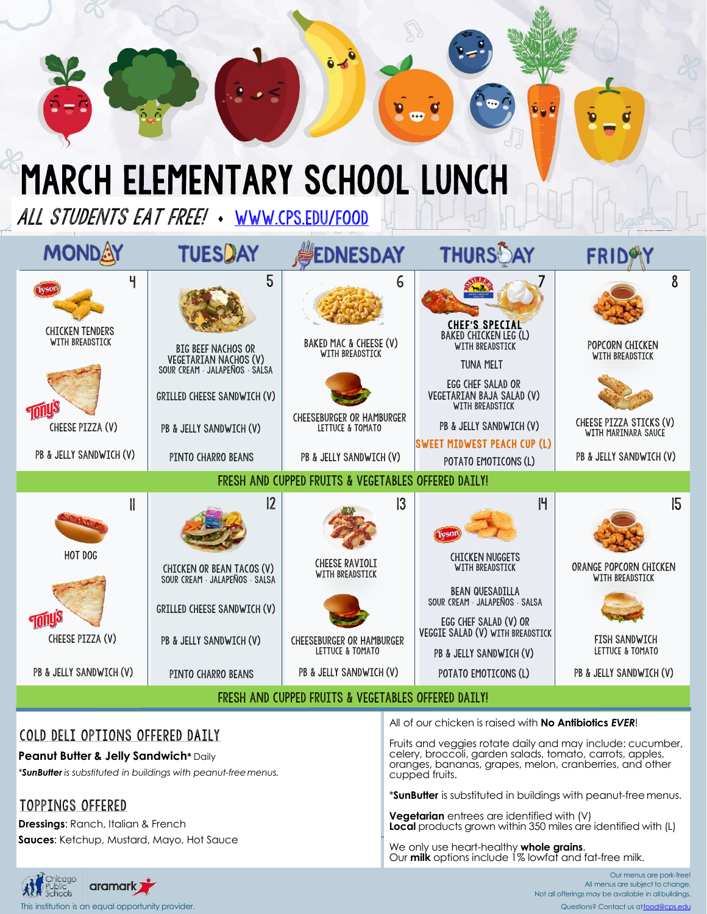## March elementary school LUNCH

ALL STUDENTS EAT FREE! [www.cps.edu/food](http://www.cps.edu/food)

| <b>MONDAY</b>                                                                                 | <b>TUESDAY</b>                                                                                                                                                        | <b>EDNESDAY</b>                                                                                                                               | <b>THURSDAY</b>                                                                                                                                                                                                                                            | <b>FRIL</b>                                                                                                          |  |  |  |
|-----------------------------------------------------------------------------------------------|-----------------------------------------------------------------------------------------------------------------------------------------------------------------------|-----------------------------------------------------------------------------------------------------------------------------------------------|------------------------------------------------------------------------------------------------------------------------------------------------------------------------------------------------------------------------------------------------------------|----------------------------------------------------------------------------------------------------------------------|--|--|--|
| Ч<br><b>CHICKEN TENDERS</b><br>WITH BREADSTICK<br>CHEESE PIZZA (V)<br>PB & JELLY SANDWICH (V) | 5<br><b>BIG BEEF NACHOS OR</b><br>VEGETARIAN NACHOS (V)<br>SOUR CREAM JALAPEÑOS SALSA<br>GRILLED CHEESE SANDWICH (V)<br>PB & JELLY SANDWICH (V)<br>PINTO CHARRO BEANS | 6<br>BAKED MAC & CHEESE (V)<br>WITH BREADSTICK<br><b>CHEESEBURGER OR HAMBURGER</b><br>LETTUCE & TOMATO<br>PB & JELLY SANDWICH (V)             | <b>CHEF'S SPECIAL</b><br><b>BAKED CHICKEN LEG (L)</b><br>WITH BREADSTICK<br><b>TUNA MELT</b><br>EGG CHEF SALAD OR<br>VEGETARIAN BAJA SALAD (V)<br>WITH BREADSTICK<br>PB & JELLY SANDWICH (V)<br><b>SWEET MIDWEST PEACH CUP (L)</b><br>POTATO EMOTICONS (L) | 8<br>POPCORN CHICKEN<br>WITH BREADSTICK<br>CHEESE PIZZA STICKS (V)<br>WITH MARINARA SAUCE<br>PB & JELLY SANDWICH (V) |  |  |  |
| FRESH AND CUPPED FRUITS & VEGETABLES OFFERED DAILY!                                           |                                                                                                                                                                       |                                                                                                                                               |                                                                                                                                                                                                                                                            |                                                                                                                      |  |  |  |
| HOT DOG<br>CHEESE PIZZA (V)<br>PB & JELLY SANDWICH (V)                                        | 2<br>CHICKEN OR BEAN TACOS (V)<br>SOUR CREAM · JALAPEÑOS · SALSA<br>GRILLED CHEESE SANDWICH (V)<br>PB & JELLY SANDWICH (V)<br>PINTO CHARRO BEANS                      | $\overline{3}$<br><b>CHEESE RAVIOLI</b><br>WITH BREADSTICK<br><b>CHEESEBURGER OR HAMBURGER</b><br>LETTUCE & TOMATO<br>PB & JELLY SANDWICH (V) | $\mathsf{H}$<br><b>Fvso</b><br><b>CHICKEN NUGGETS</b><br>WITH BREADSTICK<br><b>BEAN QUESADILLA</b><br>SOUR CREAM JALAPENOS SALSA<br>EGG CHEF SALAD (V) OR<br>VEGGIE SALAD (V) WITH BREADSTICK<br>PB & JELLY SANDWICH (V)<br>POTATO EMOTICONS (L)           | 15<br>ORANGE POPCORN CHICKEN<br>WITH BREADSTICK<br>FISH SANDWICH<br>LETTUCE & TOMATO<br>PB & JELLY SANDWICH (V)      |  |  |  |
| FRESH AND CUPPED FRUITS & VEGETABLES OFFERED DAILY!                                           |                                                                                                                                                                       |                                                                                                                                               |                                                                                                                                                                                                                                                            |                                                                                                                      |  |  |  |
|                                                                                               |                                                                                                                                                                       |                                                                                                                                               |                                                                                                                                                                                                                                                            |                                                                                                                      |  |  |  |

#### COLD DELI OPTIONS OFFERED DAILY

**Peanut Butter & Jelly Sandwich\*** Daily

*\*SunButter is substituted in buildings with peanut-freemenus.*

### TOPPINGS OFFERED

**Dressings**: Ranch, Italian & French **Sauces**: Ketchup, Mustard, Mayo, Hot Sauce All of our chicken is raised with **No Antibiotics** *EVER*!

Fruits and veggies rotate daily and may include: cucumber, celery, broccoli, garden salads, tomato, carrots, apples, oranges, bananas, grapes, melon, cranberries, and other cupped fruits.

\***SunButter** is substituted in buildings with peanut-freemenus.

**Vegetarian** entrees are identified with (V) **Local** products grown within 350 miles are identified with (L)

We only use heart-healthy **whole grains**. Our **milk** options include 1% lowfat and fat-free milk.



All menus are subject to change. Not all offerings may be available in allbuildings. This institution institution is an equal opportunity provider. Contact us at food and the contact us at food acps.edu

Our menus are pork-free!